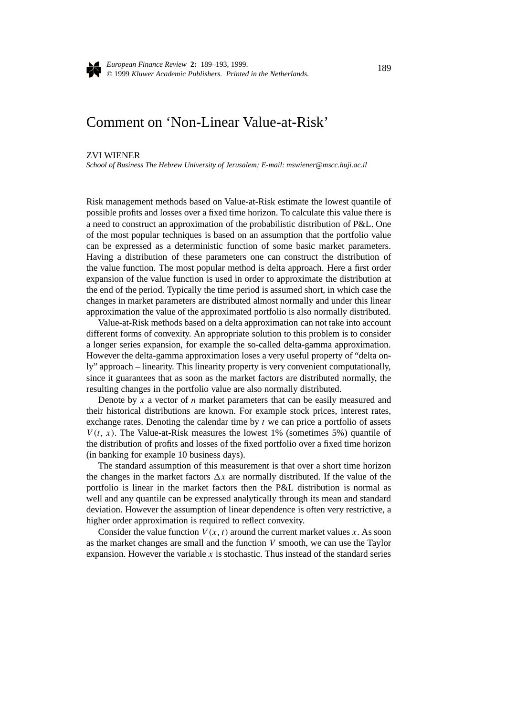

*European Finance Review* **2:** 189–193, 1999. © 1999 *Kluwer Academic Publishers. Printed in the Netherlands.* <sup>189</sup>

## Comment on 'Non-Linear Value-at-Risk'

## ZVI WIENER

*School of Business The Hebrew University of Jerusalem; E-mail: mswiener@mscc.huji.ac.il*

Risk management methods based on Value-at-Risk estimate the lowest quantile of possible profits and losses over a fixed time horizon. To calculate this value there is a need to construct an approximation of the probabilistic distribution of P&L. One of the most popular techniques is based on an assumption that the portfolio value can be expressed as a deterministic function of some basic market parameters. Having a distribution of these parameters one can construct the distribution of the value function. The most popular method is delta approach. Here a first order expansion of the value function is used in order to approximate the distribution at the end of the period. Typically the time period is assumed short, in which case the changes in market parameters are distributed almost normally and under this linear approximation the value of the approximated portfolio is also normally distributed.

Value-at-Risk methods based on a delta approximation can not take into account different forms of convexity. An appropriate solution to this problem is to consider a longer series expansion, for example the so-called delta-gamma approximation. However the delta-gamma approximation loses a very useful property of "delta only" approach – linearity. This linearity property is very convenient computationally, since it guarantees that as soon as the market factors are distributed normally, the resulting changes in the portfolio value are also normally distributed.

Denote by *x* a vector of *n* market parameters that can be easily measured and their historical distributions are known. For example stock prices, interest rates, exchange rates. Denoting the calendar time by *t* we can price a portfolio of assets  $V(t, x)$ . The Value-at-Risk measures the lowest 1% (sometimes 5%) quantile of the distribution of profits and losses of the fixed portfolio over a fixed time horizon (in banking for example 10 business days).

The standard assumption of this measurement is that over a short time horizon the changes in the market factors  $\Delta x$  are normally distributed. If the value of the portfolio is linear in the market factors then the P&L distribution is normal as well and any quantile can be expressed analytically through its mean and standard deviation. However the assumption of linear dependence is often very restrictive, a higher order approximation is required to reflect convexity.

Consider the value function  $V(x, t)$  around the current market values x. As soon as the market changes are small and the function *V* smooth, we can use the Taylor expansion. However the variable  $x$  is stochastic. Thus instead of the standard series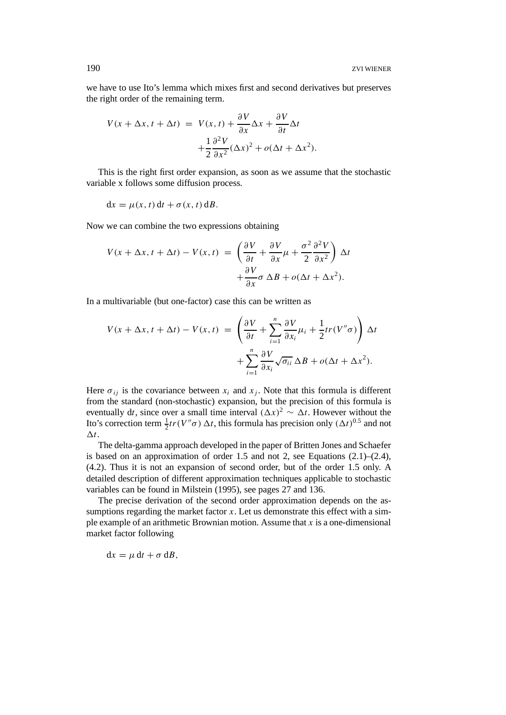we have to use Ito's lemma which mixes first and second derivatives but preserves the right order of the remaining term.

$$
V(x + \Delta x, t + \Delta t) = V(x, t) + \frac{\partial V}{\partial x} \Delta x + \frac{\partial V}{\partial t} \Delta t + \frac{1}{2} \frac{\partial^2 V}{\partial x^2} (\Delta x)^2 + o(\Delta t + \Delta x^2).
$$

This is the right first order expansion, as soon as we assume that the stochastic variable x follows some diffusion process.

$$
dx = \mu(x, t) dt + \sigma(x, t) dB.
$$

Now we can combine the two expressions obtaining

$$
V(x + \Delta x, t + \Delta t) - V(x, t) = \left(\frac{\partial V}{\partial t} + \frac{\partial V}{\partial x}\mu + \frac{\sigma^2}{2}\frac{\partial^2 V}{\partial x^2}\right) \Delta t + \frac{\partial V}{\partial x}\sigma \Delta B + o(\Delta t + \Delta x^2).
$$

In a multivariable (but one-factor) case this can be written as

$$
V(x + \Delta x, t + \Delta t) - V(x, t) = \left(\frac{\partial V}{\partial t} + \sum_{i=1}^{n} \frac{\partial V}{\partial x_i} \mu_i + \frac{1}{2} tr(V'' \sigma) \right) \Delta t + \sum_{i=1}^{n} \frac{\partial V}{\partial x_i} \sqrt{\sigma_{ii}} \Delta B + o(\Delta t + \Delta x^2).
$$

Here  $\sigma_{ij}$  is the covariance between  $x_i$  and  $x_j$ . Note that this formula is different from the standard (non-stochastic) expansion, but the precision of this formula is eventually dt, since over a small time interval  $(\Delta x)^2 \sim \Delta t$ . However without the Ito's correction term  $\frac{1}{2}tr(V''\sigma) \Delta t$ , this formula has precision only  $(\Delta t)^{0.5}$  and not  $\Delta t$ .

The delta-gamma approach developed in the paper of Britten Jones and Schaefer is based on an approximation of order 1.5 and not 2, see Equations (2.1)–(2.4), (4.2). Thus it is not an expansion of second order, but of the order 1.5 only. A detailed description of different approximation techniques applicable to stochastic variables can be found in Milstein (1995), see pages 27 and 136.

The precise derivation of the second order approximation depends on the assumptions regarding the market factor  $x$ . Let us demonstrate this effect with a simple example of an arithmetic Brownian motion. Assume that *x* is a one-dimensional market factor following

$$
\mathrm{d}x=\mu\,\mathrm{d}t+\sigma\,\mathrm{d}B,
$$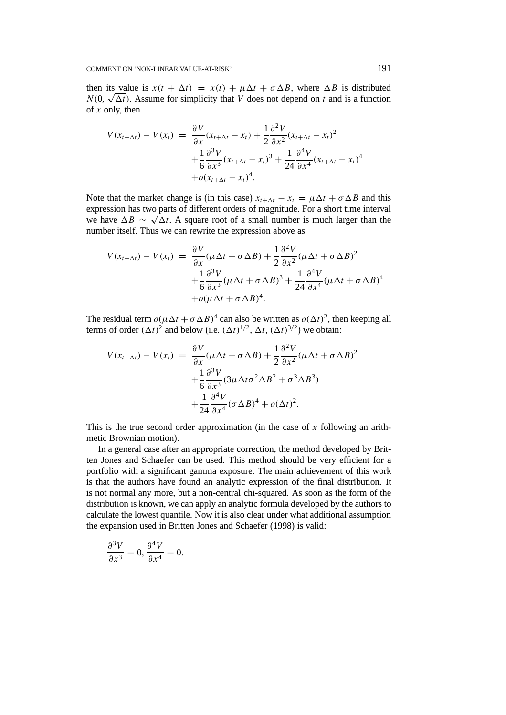then its value is  $x(t + \Delta t) = x(t) + \mu \Delta t + \sigma \Delta B$ , where  $\Delta B$  is distributed  $N(0, \sqrt{\Delta t})$ . Assume for simplicity that *V* does not depend on *t* and is a function of *x* only, then

$$
V(x_{t+\Delta t}) - V(x_t) = \frac{\partial V}{\partial x}(x_{t+\Delta t} - x_t) + \frac{1}{2} \frac{\partial^2 V}{\partial x^2}(x_{t+\Delta t} - x_t)^2 + \frac{1}{6} \frac{\partial^3 V}{\partial x^3}(x_{t+\Delta t} - x_t)^3 + \frac{1}{24} \frac{\partial^4 V}{\partial x^4}(x_{t+\Delta t} - x_t)^4 + o(x_{t+\Delta t} - x_t)^4.
$$

Note that the market change is (in this case)  $x_{t+\Delta t} - x_t = \mu \Delta t + \sigma \Delta B$  and this expression has two parts of different orders of magnitude. For a short time interval we have  $\Delta B \sim \sqrt{\Delta t}$ . A square root of a small number is much larger than the number itself. Thus we can rewrite the expression above as

$$
V(x_{t+\Delta t}) - V(x_t) = \frac{\partial V}{\partial x}(\mu \Delta t + \sigma \Delta B) + \frac{1}{2} \frac{\partial^2 V}{\partial x^2}(\mu \Delta t + \sigma \Delta B)^2
$$
  
+ 
$$
\frac{1}{6} \frac{\partial^3 V}{\partial x^3}(\mu \Delta t + \sigma \Delta B)^3 + \frac{1}{24} \frac{\partial^4 V}{\partial x^4}(\mu \Delta t + \sigma \Delta B)^4
$$
  
+ 
$$
\sigma(\mu \Delta t + \sigma \Delta B)^4.
$$

The residual term  $o(\mu\Delta t + \sigma \Delta B)^4$  can also be written as  $o(\Delta t)^2$ , then keeping all terms of order  $(\Delta t)^2$  and below (i.e.  $(\Delta t)^{1/2}$ ,  $\Delta t$ ,  $(\Delta t)^{3/2}$ ) we obtain:

$$
V(x_{t+\Delta t}) - V(x_t) = \frac{\partial V}{\partial x} (\mu \Delta t + \sigma \Delta B) + \frac{1}{2} \frac{\partial^2 V}{\partial x^2} (\mu \Delta t + \sigma \Delta B)^2
$$
  
+ 
$$
\frac{1}{6} \frac{\partial^3 V}{\partial x^3} (3\mu \Delta t \sigma^2 \Delta B^2 + \sigma^3 \Delta B^3)
$$
  
+ 
$$
\frac{1}{24} \frac{\partial^4 V}{\partial x^4} (\sigma \Delta B)^4 + o(\Delta t)^2.
$$

This is the true second order approximation (in the case of *x* following an arithmetic Brownian motion).

In a general case after an appropriate correction, the method developed by Britten Jones and Schaefer can be used. This method should be very efficient for a portfolio with a significant gamma exposure. The main achievement of this work is that the authors have found an analytic expression of the final distribution. It is not normal any more, but a non-central chi-squared. As soon as the form of the distribution is known, we can apply an analytic formula developed by the authors to calculate the lowest quantile. Now it is also clear under what additional assumption the expansion used in Britten Jones and Schaefer (1998) is valid:

$$
\frac{\partial^3 V}{\partial x^3} = 0, \frac{\partial^4 V}{\partial x^4} = 0.
$$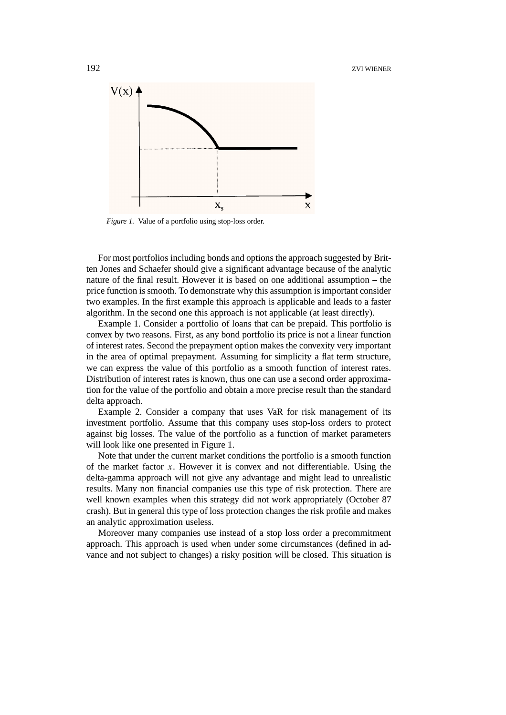

*Figure 1.* Value of a portfolio using stop-loss order.

For most portfolios including bonds and options the approach suggested by Britten Jones and Schaefer should give a significant advantage because of the analytic nature of the final result. However it is based on one additional assumption – the price function is smooth. To demonstrate why this assumption is important consider two examples. In the first example this approach is applicable and leads to a faster algorithm. In the second one this approach is not applicable (at least directly).

Example 1. Consider a portfolio of loans that can be prepaid. This portfolio is convex by two reasons. First, as any bond portfolio its price is not a linear function of interest rates. Second the prepayment option makes the convexity very important in the area of optimal prepayment. Assuming for simplicity a flat term structure, we can express the value of this portfolio as a smooth function of interest rates. Distribution of interest rates is known, thus one can use a second order approximation for the value of the portfolio and obtain a more precise result than the standard delta approach.

Example 2. Consider a company that uses VaR for risk management of its investment portfolio. Assume that this company uses stop-loss orders to protect against big losses. The value of the portfolio as a function of market parameters will look like one presented in Figure 1.

Note that under the current market conditions the portfolio is a smooth function of the market factor *x*. However it is convex and not differentiable. Using the delta-gamma approach will not give any advantage and might lead to unrealistic results. Many non financial companies use this type of risk protection. There are well known examples when this strategy did not work appropriately (October 87 crash). But in general this type of loss protection changes the risk profile and makes an analytic approximation useless.

Moreover many companies use instead of a stop loss order a precommitment approach. This approach is used when under some circumstances (defined in advance and not subject to changes) a risky position will be closed. This situation is